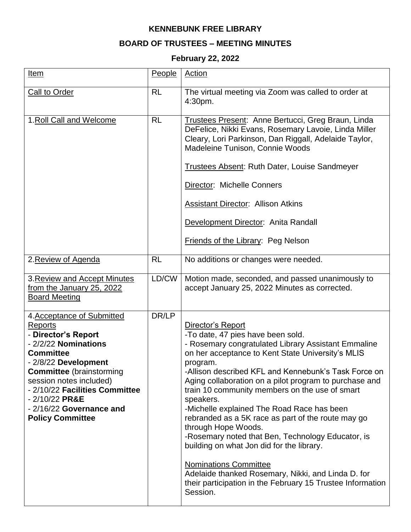## **KENNEBUNK FREE LIBRARY**

## **BOARD OF TRUSTEES – MEETING MINUTES**

## **February 22, 2022**

| Item                                                                                                                                                                                                                                                                                                              | People    | Action                                                                                                                                                                                                                                                                                                                                                                                                                                                                                                                                                                                                                                                                                                                                                       |
|-------------------------------------------------------------------------------------------------------------------------------------------------------------------------------------------------------------------------------------------------------------------------------------------------------------------|-----------|--------------------------------------------------------------------------------------------------------------------------------------------------------------------------------------------------------------------------------------------------------------------------------------------------------------------------------------------------------------------------------------------------------------------------------------------------------------------------------------------------------------------------------------------------------------------------------------------------------------------------------------------------------------------------------------------------------------------------------------------------------------|
| <b>Call to Order</b>                                                                                                                                                                                                                                                                                              | <b>RL</b> | The virtual meeting via Zoom was called to order at<br>4:30pm.                                                                                                                                                                                                                                                                                                                                                                                                                                                                                                                                                                                                                                                                                               |
| 1. Roll Call and Welcome                                                                                                                                                                                                                                                                                          | <b>RL</b> | Trustees Present: Anne Bertucci, Greg Braun, Linda<br>DeFelice, Nikki Evans, Rosemary Lavoie, Linda Miller<br>Cleary, Lori Parkinson, Dan Riggall, Adelaide Taylor,<br>Madeleine Tunison, Connie Woods<br><b>Trustees Absent: Ruth Dater, Louise Sandmeyer</b><br>Director: Michelle Conners<br><b>Assistant Director: Allison Atkins</b><br>Development Director: Anita Randall<br><b>Friends of the Library: Peg Nelson</b>                                                                                                                                                                                                                                                                                                                                |
| 2. Review of Agenda                                                                                                                                                                                                                                                                                               | <b>RL</b> | No additions or changes were needed.                                                                                                                                                                                                                                                                                                                                                                                                                                                                                                                                                                                                                                                                                                                         |
| 3. Review and Accept Minutes<br>from the January 25, 2022<br><b>Board Meeting</b>                                                                                                                                                                                                                                 | LD/CW     | Motion made, seconded, and passed unanimously to<br>accept January 25, 2022 Minutes as corrected.                                                                                                                                                                                                                                                                                                                                                                                                                                                                                                                                                                                                                                                            |
| 4. Acceptance of Submitted<br><b>Reports</b><br>- Director's Report<br>- 2/2/22 Nominations<br><b>Committee</b><br>- 2/8/22 Development<br><b>Committee</b> (brainstorming<br>session notes included)<br>- 2/10/22 Facilities Committee<br>$-2/10/22$ PR&E<br>- 2/16/22 Governance and<br><b>Policy Committee</b> | DR/LP     | Director's Report<br>-To date, 47 pies have been sold.<br>- Rosemary congratulated Library Assistant Emmaline<br>on her acceptance to Kent State University's MLIS<br>program.<br>-Allison described KFL and Kennebunk's Task Force on<br>Aging collaboration on a pilot program to purchase and<br>train 10 community members on the use of smart<br>speakers.<br>-Michelle explained The Road Race has been<br>rebranded as a 5K race as part of the route may go<br>through Hope Woods.<br>-Rosemary noted that Ben, Technology Educator, is<br>building on what Jon did for the library.<br><b>Nominations Committee</b><br>Adelaide thanked Rosemary, Nikki, and Linda D. for<br>their participation in the February 15 Trustee Information<br>Session. |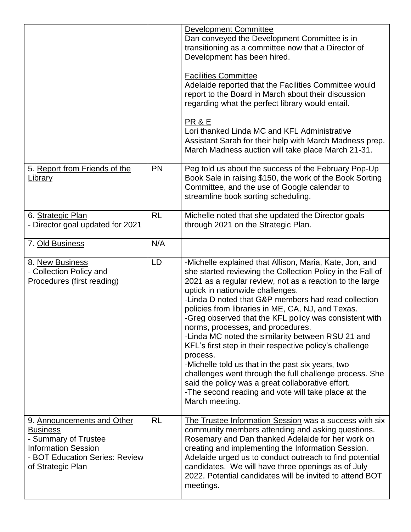|                                                                                                                                                            |           | <b>Development Committee</b><br>Dan conveyed the Development Committee is in<br>transitioning as a committee now that a Director of<br>Development has been hired.<br><b>Facilities Committee</b><br>Adelaide reported that the Facilities Committee would<br>report to the Board in March about their discussion<br>regarding what the perfect library would entail.<br>PR & E<br>Lori thanked Linda MC and KFL Administrative<br>Assistant Sarah for their help with March Madness prep.<br>March Madness auction will take place March 21-31.                                                                                                                                                                                                                                                           |
|------------------------------------------------------------------------------------------------------------------------------------------------------------|-----------|------------------------------------------------------------------------------------------------------------------------------------------------------------------------------------------------------------------------------------------------------------------------------------------------------------------------------------------------------------------------------------------------------------------------------------------------------------------------------------------------------------------------------------------------------------------------------------------------------------------------------------------------------------------------------------------------------------------------------------------------------------------------------------------------------------|
| 5. Report from Friends of the<br><u>Library</u>                                                                                                            | PN        | Peg told us about the success of the February Pop-Up<br>Book Sale in raising \$150, the work of the Book Sorting<br>Committee, and the use of Google calendar to<br>streamline book sorting scheduling.                                                                                                                                                                                                                                                                                                                                                                                                                                                                                                                                                                                                    |
| 6. Strategic Plan<br>- Director goal updated for 2021                                                                                                      | <b>RL</b> | Michelle noted that she updated the Director goals<br>through 2021 on the Strategic Plan.                                                                                                                                                                                                                                                                                                                                                                                                                                                                                                                                                                                                                                                                                                                  |
| 7. Old Business                                                                                                                                            | N/A       |                                                                                                                                                                                                                                                                                                                                                                                                                                                                                                                                                                                                                                                                                                                                                                                                            |
| 8. New Business<br>- Collection Policy and<br>Procedures (first reading)                                                                                   | LD        | -Michelle explained that Allison, Maria, Kate, Jon, and<br>she started reviewing the Collection Policy in the Fall of<br>2021 as a regular review, not as a reaction to the large<br>uptick in nationwide challenges.<br>-Linda D noted that G&P members had read collection<br>policies from libraries in ME, CA, NJ, and Texas.<br>-Greg observed that the KFL policy was consistent with<br>norms, processes, and procedures.<br>-Linda MC noted the similarity between RSU 21 and<br>KFL's first step in their respective policy's challenge<br>process.<br>-Michelle told us that in the past six years, two<br>challenges went through the full challenge process. She<br>said the policy was a great collaborative effort.<br>-The second reading and vote will take place at the<br>March meeting. |
| 9. Announcements and Other<br><u>Business</u><br>- Summary of Trustee<br><b>Information Session</b><br>- BOT Education Series: Review<br>of Strategic Plan | <b>RL</b> | The Trustee Information Session was a success with six<br>community members attending and asking questions.<br>Rosemary and Dan thanked Adelaide for her work on<br>creating and implementing the Information Session.<br>Adelaide urged us to conduct outreach to find potential<br>candidates. We will have three openings as of July<br>2022. Potential candidates will be invited to attend BOT<br>meetings.                                                                                                                                                                                                                                                                                                                                                                                           |